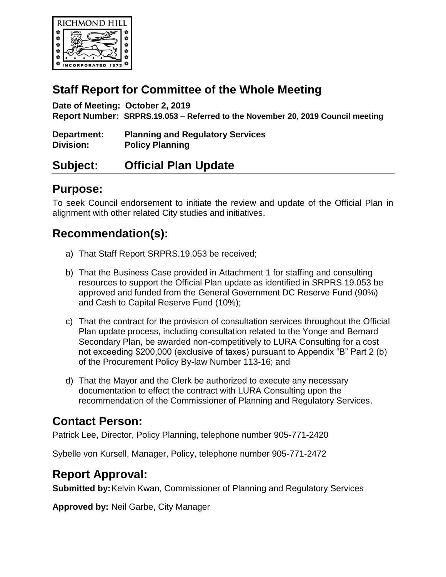

#### **Staff Report for Committee of the Whole Meeting**

**Date of Meeting: October 2, 2019 Report Number: SRPRS.19.053 – Referred to the November 20, 2019 Council meeting**

| Department: | <b>Planning and Regulatory Services</b> |
|-------------|-----------------------------------------|
| Division:   | <b>Policy Planning</b>                  |

## **Subject: Official Plan Update**

## **Purpose:**

To seek Council endorsement to initiate the review and update of the Official Plan in alignment with other related City studies and initiatives.

## **Recommendation(s):**

- a) That Staff Report SRPRS.19.053 be received;
- b) That the Business Case provided in Attachment 1 for staffing and consulting resources to support the Official Plan update as identified in SRPRS.19.053 be approved and funded from the General Government DC Reserve Fund (90%) and Cash to Capital Reserve Fund (10%);
- c) That the contract for the provision of consultation services throughout the Official Plan update process, including consultation related to the Yonge and Bernard Secondary Plan, be awarded non-competitively to LURA Consulting for a cost not exceeding \$200,000 (exclusive of taxes) pursuant to Appendix "B" Part 2 (b) of the Procurement Policy By-law Number 113-16; and
- d) That the Mayor and the Clerk be authorized to execute any necessary documentation to effect the contract with LURA Consulting upon the recommendation of the Commissioner of Planning and Regulatory Services.

## **Contact Person:**

Patrick Lee, Director, Policy Planning, telephone number 905-771-2420

Sybelle von Kursell, Manager, Policy, telephone number 905-771-2472

# **Report Approval:**

**Submitted by:**Kelvin Kwan, Commissioner of Planning and Regulatory Services

**Approved by:** Neil Garbe, City Manager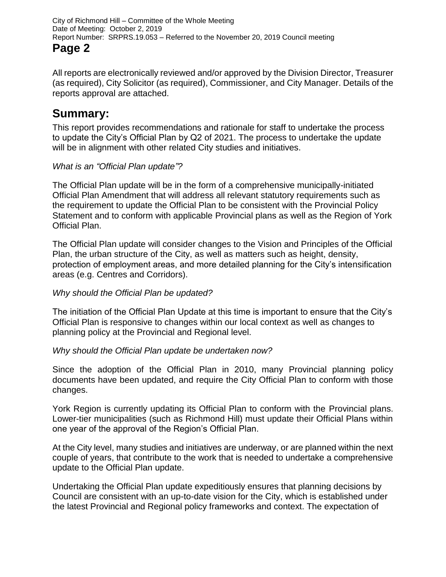City of Richmond Hill – Committee of the Whole Meeting Date of Meeting: October 2, 2019 Report Number: SRPRS.19.053 – Referred to the November 20, 2019 Council meeting **Page 2**

All reports are electronically reviewed and/or approved by the Division Director, Treasurer (as required), City Solicitor (as required), Commissioner, and City Manager. Details of the reports approval are attached.

#### **Summary:**

This report provides recommendations and rationale for staff to undertake the process to update the City's Official Plan by Q2 of 2021. The process to undertake the update will be in alignment with other related City studies and initiatives.

#### *What is an "Official Plan update"?*

The Official Plan update will be in the form of a comprehensive municipally-initiated Official Plan Amendment that will address all relevant statutory requirements such as the requirement to update the Official Plan to be consistent with the Provincial Policy Statement and to conform with applicable Provincial plans as well as the Region of York Official Plan.

The Official Plan update will consider changes to the Vision and Principles of the Official Plan, the urban structure of the City, as well as matters such as height, density, protection of employment areas, and more detailed planning for the City's intensification areas (e.g. Centres and Corridors).

#### *Why should the Official Plan be updated?*

The initiation of the Official Plan Update at this time is important to ensure that the City's Official Plan is responsive to changes within our local context as well as changes to planning policy at the Provincial and Regional level.

#### *Why should the Official Plan update be undertaken now?*

Since the adoption of the Official Plan in 2010, many Provincial planning policy documents have been updated, and require the City Official Plan to conform with those changes.

York Region is currently updating its Official Plan to conform with the Provincial plans. Lower-tier municipalities (such as Richmond Hill) must update their Official Plans within one year of the approval of the Region's Official Plan.

At the City level, many studies and initiatives are underway, or are planned within the next couple of years, that contribute to the work that is needed to undertake a comprehensive update to the Official Plan update.

Undertaking the Official Plan update expeditiously ensures that planning decisions by Council are consistent with an up-to-date vision for the City, which is established under the latest Provincial and Regional policy frameworks and context. The expectation of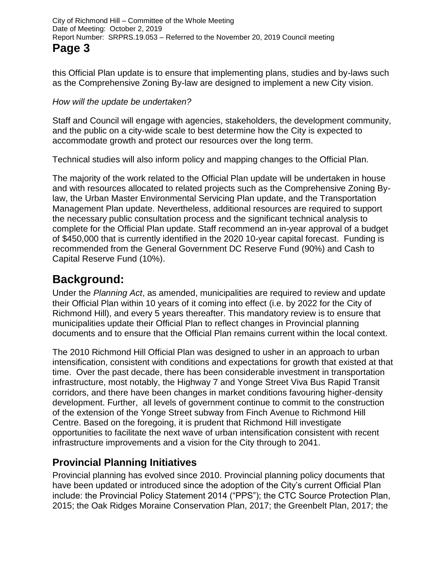this Official Plan update is to ensure that implementing plans, studies and by-laws such as the Comprehensive Zoning By-law are designed to implement a new City vision.

#### *How will the update be undertaken?*

Staff and Council will engage with agencies, stakeholders, the development community, and the public on a city-wide scale to best determine how the City is expected to accommodate growth and protect our resources over the long term.

Technical studies will also inform policy and mapping changes to the Official Plan.

The majority of the work related to the Official Plan update will be undertaken in house and with resources allocated to related projects such as the Comprehensive Zoning Bylaw, the Urban Master Environmental Servicing Plan update, and the Transportation Management Plan update. Nevertheless, additional resources are required to support the necessary public consultation process and the significant technical analysis to complete for the Official Plan update. Staff recommend an in-year approval of a budget of \$450,000 that is currently identified in the 2020 10-year capital forecast. Funding is recommended from the General Government DC Reserve Fund (90%) and Cash to Capital Reserve Fund (10%).

#### **Background:**

Under the *Planning Act*, as amended, municipalities are required to review and update their Official Plan within 10 years of it coming into effect (i.e. by 2022 for the City of Richmond Hill), and every 5 years thereafter. This mandatory review is to ensure that municipalities update their Official Plan to reflect changes in Provincial planning documents and to ensure that the Official Plan remains current within the local context.

The 2010 Richmond Hill Official Plan was designed to usher in an approach to urban intensification, consistent with conditions and expectations for growth that existed at that time. Over the past decade, there has been considerable investment in transportation infrastructure, most notably, the Highway 7 and Yonge Street Viva Bus Rapid Transit corridors, and there have been changes in market conditions favouring higher-density development. Further, all levels of government continue to commit to the construction of the extension of the Yonge Street subway from Finch Avenue to Richmond Hill Centre. Based on the foregoing, it is prudent that Richmond Hill investigate opportunities to facilitate the next wave of urban intensification consistent with recent infrastructure improvements and a vision for the City through to 2041.

#### **Provincial Planning Initiatives**

Provincial planning has evolved since 2010. Provincial planning policy documents that have been updated or introduced since the adoption of the City's current Official Plan include: the Provincial Policy Statement 2014 ("PPS"); the CTC Source Protection Plan, 2015; the Oak Ridges Moraine Conservation Plan, 2017; the Greenbelt Plan, 2017; the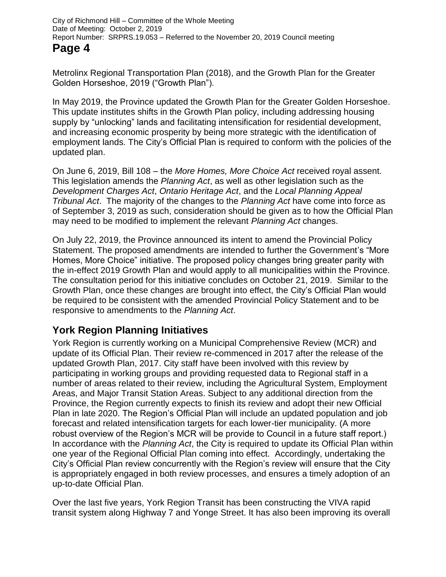City of Richmond Hill – Committee of the Whole Meeting Date of Meeting: October 2, 2019 Report Number: SRPRS.19.053 – Referred to the November 20, 2019 Council meeting **Page 4**

Metrolinx Regional Transportation Plan (2018), and the Growth Plan for the Greater Golden Horseshoe, 2019 ("Growth Plan").

In May 2019, the Province updated the Growth Plan for the Greater Golden Horseshoe. This update institutes shifts in the Growth Plan policy, including addressing housing supply by "unlocking" lands and facilitating intensification for residential development, and increasing economic prosperity by being more strategic with the identification of employment lands. The City's Official Plan is required to conform with the policies of the updated plan.

On June 6, 2019, Bill 108 – the *More Homes, More Choice Act* received royal assent. This legislation amends the *Planning Act*, as well as other legislation such as the *Development Charges Act*, *Ontario Heritage Act*, and the *Local Planning Appeal Tribunal Act*. The majority of the changes to the *Planning Act* have come into force as of September 3, 2019 as such, consideration should be given as to how the Official Plan may need to be modified to implement the relevant *Planning Act* changes.

On July 22, 2019, the Province announced its intent to amend the Provincial Policy Statement. The proposed amendments are intended to further the Government's "More Homes, More Choice" initiative. The proposed policy changes bring greater parity with the in-effect 2019 Growth Plan and would apply to all municipalities within the Province. The consultation period for this initiative concludes on October 21, 2019. Similar to the Growth Plan, once these changes are brought into effect, the City's Official Plan would be required to be consistent with the amended Provincial Policy Statement and to be responsive to amendments to the *Planning Act*.

#### **York Region Planning Initiatives**

York Region is currently working on a Municipal Comprehensive Review (MCR) and update of its Official Plan. Their review re-commenced in 2017 after the release of the updated Growth Plan, 2017. City staff have been involved with this review by participating in working groups and providing requested data to Regional staff in a number of areas related to their review, including the Agricultural System, Employment Areas, and Major Transit Station Areas. Subject to any additional direction from the Province, the Region currently expects to finish its review and adopt their new Official Plan in late 2020. The Region's Official Plan will include an updated population and job forecast and related intensification targets for each lower-tier municipality. (A more robust overview of the Region's MCR will be provide to Council in a future staff report.) In accordance with the *Planning Act*, the City is required to update its Official Plan within one year of the Regional Official Plan coming into effect. Accordingly, undertaking the City's Official Plan review concurrently with the Region's review will ensure that the City is appropriately engaged in both review processes, and ensures a timely adoption of an up-to-date Official Plan.

Over the last five years, York Region Transit has been constructing the VIVA rapid transit system along Highway 7 and Yonge Street. It has also been improving its overall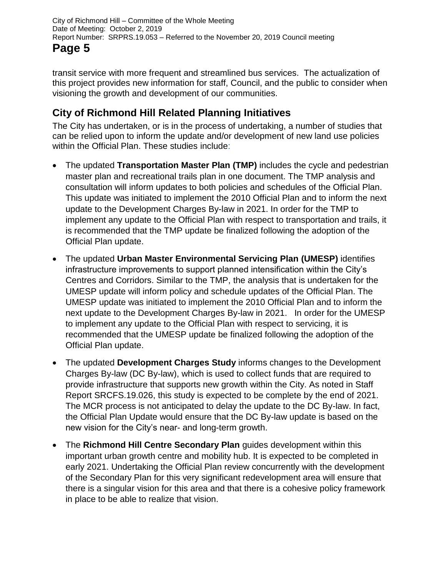transit service with more frequent and streamlined bus services. The actualization of this project provides new information for staff, Council, and the public to consider when visioning the growth and development of our communities.

### **City of Richmond Hill Related Planning Initiatives**

The City has undertaken, or is in the process of undertaking, a number of studies that can be relied upon to inform the update and/or development of new land use policies within the Official Plan. These studies include:

- The updated **Transportation Master Plan (TMP)** includes the cycle and pedestrian master plan and recreational trails plan in one document. The TMP analysis and consultation will inform updates to both policies and schedules of the Official Plan. This update was initiated to implement the 2010 Official Plan and to inform the next update to the Development Charges By-law in 2021. In order for the TMP to implement any update to the Official Plan with respect to transportation and trails, it is recommended that the TMP update be finalized following the adoption of the Official Plan update.
- The updated **Urban Master Environmental Servicing Plan (UMESP)** identifies infrastructure improvements to support planned intensification within the City's Centres and Corridors. Similar to the TMP, the analysis that is undertaken for the UMESP update will inform policy and schedule updates of the Official Plan. The UMESP update was initiated to implement the 2010 Official Plan and to inform the next update to the Development Charges By-law in 2021. In order for the UMESP to implement any update to the Official Plan with respect to servicing, it is recommended that the UMESP update be finalized following the adoption of the Official Plan update.
- The updated **Development Charges Study** informs changes to the Development Charges By-law (DC By-law), which is used to collect funds that are required to provide infrastructure that supports new growth within the City. As noted in Staff Report SRCFS.19.026, this study is expected to be complete by the end of 2021. The MCR process is not anticipated to delay the update to the DC By-law. In fact, the Official Plan Update would ensure that the DC By-law update is based on the new vision for the City's near- and long-term growth.
- The **Richmond Hill Centre Secondary Plan** guides development within this important urban growth centre and mobility hub. It is expected to be completed in early 2021. Undertaking the Official Plan review concurrently with the development of the Secondary Plan for this very significant redevelopment area will ensure that there is a singular vision for this area and that there is a cohesive policy framework in place to be able to realize that vision.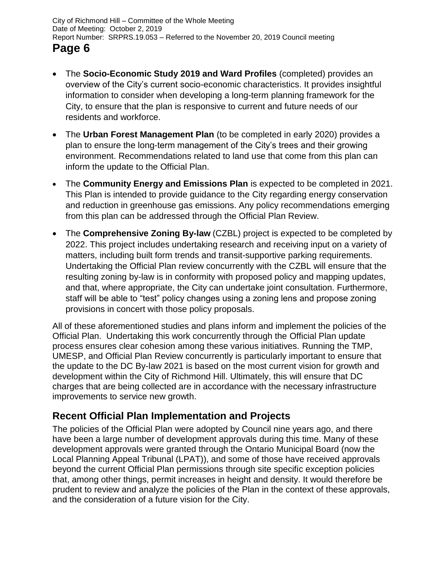- The **Socio-Economic Study 2019 and Ward Profiles** (completed) provides an overview of the City's current socio-economic characteristics. It provides insightful information to consider when developing a long-term planning framework for the City, to ensure that the plan is responsive to current and future needs of our residents and workforce.
- The **Urban Forest Management Plan** (to be completed in early 2020) provides a plan to ensure the long-term management of the City's trees and their growing environment. Recommendations related to land use that come from this plan can inform the update to the Official Plan.
- The **Community Energy and Emissions Plan** is expected to be completed in 2021. This Plan is intended to provide guidance to the City regarding energy conservation and reduction in greenhouse gas emissions. Any policy recommendations emerging from this plan can be addressed through the Official Plan Review.
- The **Comprehensive Zoning By-law** (CZBL) project is expected to be completed by 2022. This project includes undertaking research and receiving input on a variety of matters, including built form trends and transit-supportive parking requirements. Undertaking the Official Plan review concurrently with the CZBL will ensure that the resulting zoning by-law is in conformity with proposed policy and mapping updates, and that, where appropriate, the City can undertake joint consultation. Furthermore, staff will be able to "test" policy changes using a zoning lens and propose zoning provisions in concert with those policy proposals.

All of these aforementioned studies and plans inform and implement the policies of the Official Plan. Undertaking this work concurrently through the Official Plan update process ensures clear cohesion among these various initiatives. Running the TMP, UMESP, and Official Plan Review concurrently is particularly important to ensure that the update to the DC By-law 2021 is based on the most current vision for growth and development within the City of Richmond Hill. Ultimately, this will ensure that DC charges that are being collected are in accordance with the necessary infrastructure improvements to service new growth.

#### **Recent Official Plan Implementation and Projects**

The policies of the Official Plan were adopted by Council nine years ago, and there have been a large number of development approvals during this time. Many of these development approvals were granted through the Ontario Municipal Board (now the Local Planning Appeal Tribunal (LPAT)), and some of those have received approvals beyond the current Official Plan permissions through site specific exception policies that, among other things, permit increases in height and density. It would therefore be prudent to review and analyze the policies of the Plan in the context of these approvals, and the consideration of a future vision for the City.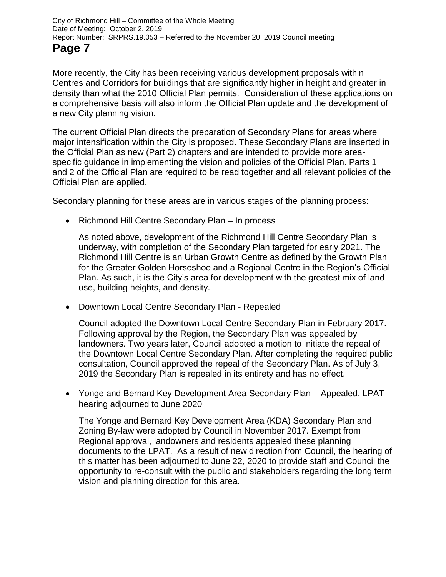City of Richmond Hill – Committee of the Whole Meeting Date of Meeting: October 2, 2019 Report Number: SRPRS.19.053 – Referred to the November 20, 2019 Council meeting

# **Page 7**

More recently, the City has been receiving various development proposals within Centres and Corridors for buildings that are significantly higher in height and greater in density than what the 2010 Official Plan permits. Consideration of these applications on a comprehensive basis will also inform the Official Plan update and the development of a new City planning vision.

The current Official Plan directs the preparation of Secondary Plans for areas where major intensification within the City is proposed. These Secondary Plans are inserted in the Official Plan as new (Part 2) chapters and are intended to provide more areaspecific guidance in implementing the vision and policies of the Official Plan. Parts 1 and 2 of the Official Plan are required to be read together and all relevant policies of the Official Plan are applied.

Secondary planning for these areas are in various stages of the planning process:

• Richmond Hill Centre Secondary Plan – In process

As noted above, development of the Richmond Hill Centre Secondary Plan is underway, with completion of the Secondary Plan targeted for early 2021. The Richmond Hill Centre is an Urban Growth Centre as defined by the Growth Plan for the Greater Golden Horseshoe and a Regional Centre in the Region's Official Plan. As such, it is the City's area for development with the greatest mix of land use, building heights, and density.

Downtown Local Centre Secondary Plan - Repealed

Council adopted the Downtown Local Centre Secondary Plan in February 2017. Following approval by the Region, the Secondary Plan was appealed by landowners. Two years later, Council adopted a motion to initiate the repeal of the Downtown Local Centre Secondary Plan. After completing the required public consultation, Council approved the repeal of the Secondary Plan. As of July 3, 2019 the Secondary Plan is repealed in its entirety and has no effect.

 Yonge and Bernard Key Development Area Secondary Plan – Appealed, LPAT hearing adjourned to June 2020

The Yonge and Bernard Key Development Area (KDA) Secondary Plan and Zoning By-law were adopted by Council in November 2017. Exempt from Regional approval, landowners and residents appealed these planning documents to the LPAT. As a result of new direction from Council, the hearing of this matter has been adjourned to June 22, 2020 to provide staff and Council the opportunity to re-consult with the public and stakeholders regarding the long term vision and planning direction for this area.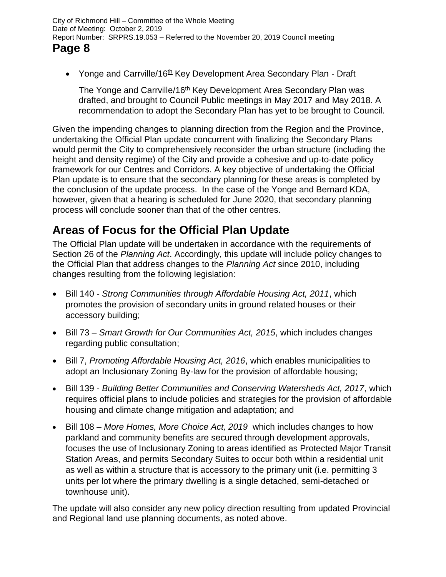• Yonge and Carrville/16<sup>th</sup> Key Development Area Secondary Plan - Draft

The Yonge and Carrville/16<sup>th</sup> Key Development Area Secondary Plan was drafted, and brought to Council Public meetings in May 2017 and May 2018. A recommendation to adopt the Secondary Plan has yet to be brought to Council.

Given the impending changes to planning direction from the Region and the Province, undertaking the Official Plan update concurrent with finalizing the Secondary Plans would permit the City to comprehensively reconsider the urban structure (including the height and density regime) of the City and provide a cohesive and up-to-date policy framework for our Centres and Corridors. A key objective of undertaking the Official Plan update is to ensure that the secondary planning for these areas is completed by the conclusion of the update process. In the case of the Yonge and Bernard KDA, however, given that a hearing is scheduled for June 2020, that secondary planning process will conclude sooner than that of the other centres.

## **Areas of Focus for the Official Plan Update**

The Official Plan update will be undertaken in accordance with the requirements of Section 26 of the *Planning Act*. Accordingly, this update will include policy changes to the Official Plan that address changes to the *Planning Act* since 2010, including changes resulting from the following legislation:

- Bill 140 *Strong Communities through Affordable Housing Act, 2011*, which promotes the provision of secondary units in ground related houses or their accessory building;
- Bill 73 *Smart Growth for Our Communities Act, 2015*, which includes changes regarding public consultation;
- Bill 7, *Promoting Affordable Housing Act, 2016*, which enables municipalities to adopt an Inclusionary Zoning By-law for the provision of affordable housing;
- Bill 139 *Building Better Communities and Conserving Watersheds Act, 2017*, which requires official plans to include policies and strategies for the provision of affordable housing and climate change mitigation and adaptation; and
- Bill 108 *More Homes, More Choice Act, 2019* which includes changes to how parkland and community benefits are secured through development approvals, focuses the use of Inclusionary Zoning to areas identified as Protected Major Transit Station Areas, and permits Secondary Suites to occur both within a residential unit as well as within a structure that is accessory to the primary unit (i.e. permitting 3 units per lot where the primary dwelling is a single detached, semi-detached or townhouse unit).

The update will also consider any new policy direction resulting from updated Provincial and Regional land use planning documents, as noted above.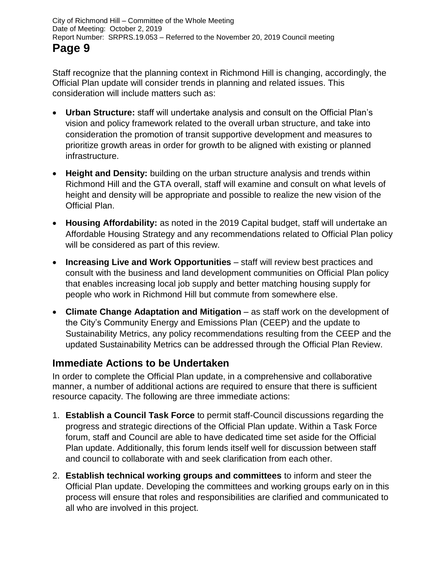Staff recognize that the planning context in Richmond Hill is changing, accordingly, the Official Plan update will consider trends in planning and related issues. This consideration will include matters such as:

- **Urban Structure:** staff will undertake analysis and consult on the Official Plan's vision and policy framework related to the overall urban structure, and take into consideration the promotion of transit supportive development and measures to prioritize growth areas in order for growth to be aligned with existing or planned infrastructure.
- **Height and Density:** building on the urban structure analysis and trends within Richmond Hill and the GTA overall, staff will examine and consult on what levels of height and density will be appropriate and possible to realize the new vision of the Official Plan.
- **Housing Affordability:** as noted in the 2019 Capital budget, staff will undertake an Affordable Housing Strategy and any recommendations related to Official Plan policy will be considered as part of this review.
- **Increasing Live and Work Opportunities** staff will review best practices and consult with the business and land development communities on Official Plan policy that enables increasing local job supply and better matching housing supply for people who work in Richmond Hill but commute from somewhere else.
- **Climate Change Adaptation and Mitigation** as staff work on the development of the City's Community Energy and Emissions Plan (CEEP) and the update to Sustainability Metrics, any policy recommendations resulting from the CEEP and the updated Sustainability Metrics can be addressed through the Official Plan Review.

#### **Immediate Actions to be Undertaken**

In order to complete the Official Plan update, in a comprehensive and collaborative manner, a number of additional actions are required to ensure that there is sufficient resource capacity. The following are three immediate actions:

- 1. **Establish a Council Task Force** to permit staff-Council discussions regarding the progress and strategic directions of the Official Plan update. Within a Task Force forum, staff and Council are able to have dedicated time set aside for the Official Plan update. Additionally, this forum lends itself well for discussion between staff and council to collaborate with and seek clarification from each other.
- 2. **Establish technical working groups and committees** to inform and steer the Official Plan update. Developing the committees and working groups early on in this process will ensure that roles and responsibilities are clarified and communicated to all who are involved in this project.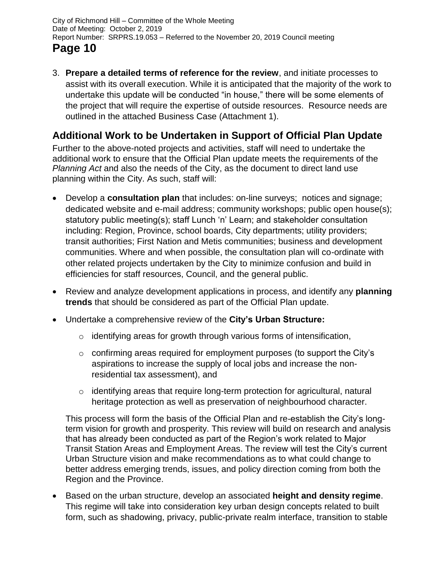City of Richmond Hill – Committee of the Whole Meeting Date of Meeting: October 2, 2019 Report Number: SRPRS.19.053 – Referred to the November 20, 2019 Council meeting

# **Page 10**

3. **Prepare a detailed terms of reference for the review**, and initiate processes to assist with its overall execution. While it is anticipated that the majority of the work to undertake this update will be conducted "in house," there will be some elements of the project that will require the expertise of outside resources. Resource needs are outlined in the attached Business Case (Attachment 1).

### **Additional Work to be Undertaken in Support of Official Plan Update**

Further to the above-noted projects and activities, staff will need to undertake the additional work to ensure that the Official Plan update meets the requirements of the *Planning Act* and also the needs of the City, as the document to direct land use planning within the City. As such, staff will:

- Develop a **consultation plan** that includes: on-line surveys; notices and signage; dedicated website and e-mail address; community workshops; public open house(s); statutory public meeting(s); staff Lunch 'n' Learn; and stakeholder consultation including: Region, Province, school boards, City departments; utility providers; transit authorities; First Nation and Metis communities; business and development communities. Where and when possible, the consultation plan will co-ordinate with other related projects undertaken by the City to minimize confusion and build in efficiencies for staff resources, Council, and the general public.
- Review and analyze development applications in process, and identify any **planning trends** that should be considered as part of the Official Plan update.
- Undertake a comprehensive review of the **City's Urban Structure:** 
	- $\circ$  identifying areas for growth through various forms of intensification,
	- o confirming areas required for employment purposes (to support the City's aspirations to increase the supply of local jobs and increase the nonresidential tax assessment), and
	- $\circ$  identifying areas that require long-term protection for agricultural, natural heritage protection as well as preservation of neighbourhood character.

This process will form the basis of the Official Plan and re-establish the City's longterm vision for growth and prosperity. This review will build on research and analysis that has already been conducted as part of the Region's work related to Major Transit Station Areas and Employment Areas. The review will test the City's current Urban Structure vision and make recommendations as to what could change to better address emerging trends, issues, and policy direction coming from both the Region and the Province.

 Based on the urban structure, develop an associated **height and density regime**. This regime will take into consideration key urban design concepts related to built form, such as shadowing, privacy, public-private realm interface, transition to stable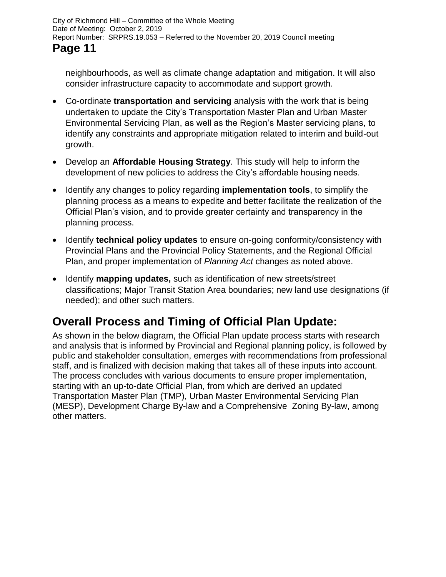neighbourhoods, as well as climate change adaptation and mitigation. It will also consider infrastructure capacity to accommodate and support growth.

- Co-ordinate **transportation and servicing** analysis with the work that is being undertaken to update the City's Transportation Master Plan and Urban Master Environmental Servicing Plan, as well as the Region's Master servicing plans, to identify any constraints and appropriate mitigation related to interim and build-out growth.
- Develop an **Affordable Housing Strategy**. This study will help to inform the development of new policies to address the City's affordable housing needs.
- Identify any changes to policy regarding **implementation tools**, to simplify the planning process as a means to expedite and better facilitate the realization of the Official Plan's vision, and to provide greater certainty and transparency in the planning process.
- Identify **technical policy updates** to ensure on-going conformity/consistency with Provincial Plans and the Provincial Policy Statements, and the Regional Official Plan, and proper implementation of *Planning Act* changes as noted above.
- Identify **mapping updates**, such as identification of new streets/street classifications; Major Transit Station Area boundaries; new land use designations (if needed); and other such matters.

# **Overall Process and Timing of Official Plan Update:**

As shown in the below diagram, the Official Plan update process starts with research and analysis that is informed by Provincial and Regional planning policy, is followed by public and stakeholder consultation, emerges with recommendations from professional staff, and is finalized with decision making that takes all of these inputs into account. The process concludes with various documents to ensure proper implementation, starting with an up-to-date Official Plan, from which are derived an updated Transportation Master Plan (TMP), Urban Master Environmental Servicing Plan (MESP), Development Charge By-law and a Comprehensive Zoning By-law, among other matters.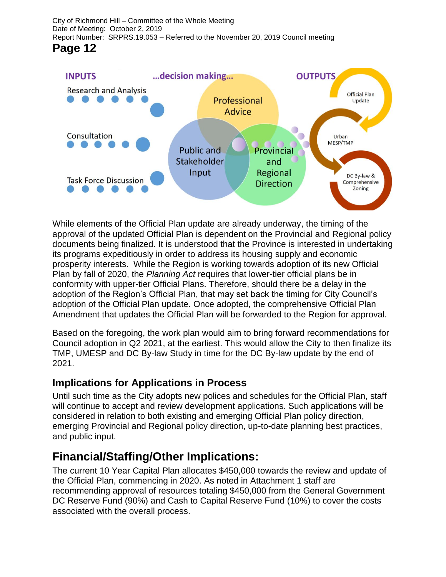City of Richmond Hill – Committee of the Whole Meeting Date of Meeting: October 2, 2019 Report Number: SRPRS.19.053 – Referred to the November 20, 2019 Council meeting

### **Page 12**



While elements of the Official Plan update are already underway, the timing of the approval of the updated Official Plan is dependent on the Provincial and Regional policy documents being finalized. It is understood that the Province is interested in undertaking its programs expeditiously in order to address its housing supply and economic prosperity interests. While the Region is working towards adoption of its new Official Plan by fall of 2020, the *Planning Act* requires that lower-tier official plans be in conformity with upper-tier Official Plans. Therefore, should there be a delay in the adoption of the Region's Official Plan, that may set back the timing for City Council's adoption of the Official Plan update. Once adopted, the comprehensive Official Plan Amendment that updates the Official Plan will be forwarded to the Region for approval.

Based on the foregoing, the work plan would aim to bring forward recommendations for Council adoption in Q2 2021, at the earliest. This would allow the City to then finalize its TMP, UMESP and DC By-law Study in time for the DC By-law update by the end of 2021.

#### **Implications for Applications in Process**

Until such time as the City adopts new polices and schedules for the Official Plan, staff will continue to accept and review development applications. Such applications will be considered in relation to both existing and emerging Official Plan policy direction, emerging Provincial and Regional policy direction, up-to-date planning best practices, and public input.

# **Financial/Staffing/Other Implications:**

The current 10 Year Capital Plan allocates \$450,000 towards the review and update of the Official Plan, commencing in 2020. As noted in Attachment 1 staff are recommending approval of resources totaling \$450,000 from the General Government DC Reserve Fund (90%) and Cash to Capital Reserve Fund (10%) to cover the costs associated with the overall process.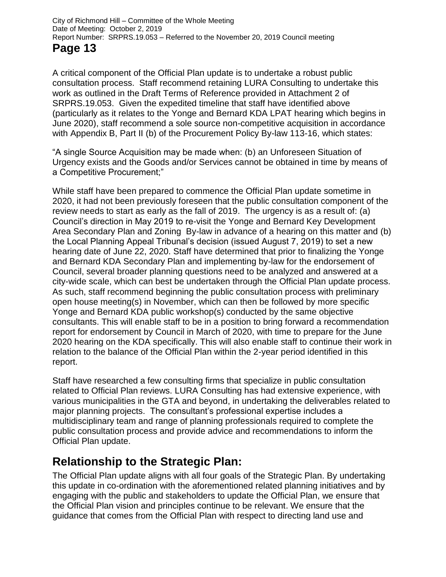# **Page 13**

A critical component of the Official Plan update is to undertake a robust public consultation process. Staff recommend retaining LURA Consulting to undertake this work as outlined in the Draft Terms of Reference provided in Attachment 2 of SRPRS.19.053. Given the expedited timeline that staff have identified above (particularly as it relates to the Yonge and Bernard KDA LPAT hearing which begins in June 2020), staff recommend a sole source non-competitive acquisition in accordance with Appendix B, Part II (b) of the Procurement Policy By-law 113-16, which states:

"A single Source Acquisition may be made when: (b) an Unforeseen Situation of Urgency exists and the Goods and/or Services cannot be obtained in time by means of a Competitive Procurement;"

While staff have been prepared to commence the Official Plan update sometime in 2020, it had not been previously foreseen that the public consultation component of the review needs to start as early as the fall of 2019. The urgency is as a result of: (a) Council's direction in May 2019 to re-visit the Yonge and Bernard Key Development Area Secondary Plan and Zoning By-law in advance of a hearing on this matter and (b) the Local Planning Appeal Tribunal's decision (issued August 7, 2019) to set a new hearing date of June 22, 2020. Staff have determined that prior to finalizing the Yonge and Bernard KDA Secondary Plan and implementing by-law for the endorsement of Council, several broader planning questions need to be analyzed and answered at a city-wide scale, which can best be undertaken through the Official Plan update process. As such, staff recommend beginning the public consultation process with preliminary open house meeting(s) in November, which can then be followed by more specific Yonge and Bernard KDA public workshop(s) conducted by the same objective consultants. This will enable staff to be in a position to bring forward a recommendation report for endorsement by Council in March of 2020, with time to prepare for the June 2020 hearing on the KDA specifically. This will also enable staff to continue their work in relation to the balance of the Official Plan within the 2-year period identified in this report.

Staff have researched a few consulting firms that specialize in public consultation related to Official Plan reviews. LURA Consulting has had extensive experience, with various municipalities in the GTA and beyond, in undertaking the deliverables related to major planning projects. The consultant's professional expertise includes a multidisciplinary team and range of planning professionals required to complete the public consultation process and provide advice and recommendations to inform the Official Plan update.

## **Relationship to the Strategic Plan:**

The Official Plan update aligns with all four goals of the Strategic Plan. By undertaking this update in co-ordination with the aforementioned related planning initiatives and by engaging with the public and stakeholders to update the Official Plan, we ensure that the Official Plan vision and principles continue to be relevant. We ensure that the guidance that comes from the Official Plan with respect to directing land use and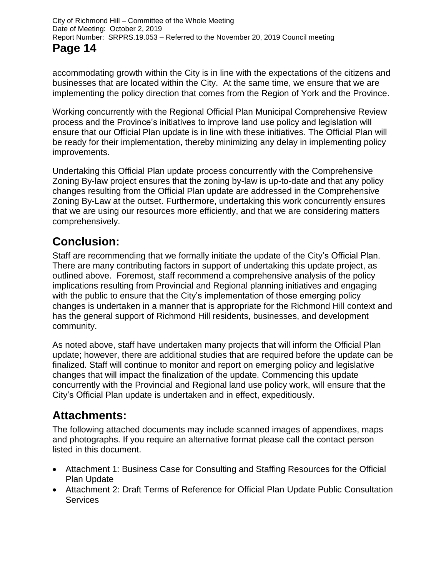accommodating growth within the City is in line with the expectations of the citizens and businesses that are located within the City. At the same time, we ensure that we are implementing the policy direction that comes from the Region of York and the Province.

Working concurrently with the Regional Official Plan Municipal Comprehensive Review process and the Province's initiatives to improve land use policy and legislation will ensure that our Official Plan update is in line with these initiatives. The Official Plan will be ready for their implementation, thereby minimizing any delay in implementing policy improvements.

Undertaking this Official Plan update process concurrently with the Comprehensive Zoning By-law project ensures that the zoning by-law is up-to-date and that any policy changes resulting from the Official Plan update are addressed in the Comprehensive Zoning By-Law at the outset. Furthermore, undertaking this work concurrently ensures that we are using our resources more efficiently, and that we are considering matters comprehensively.

# **Conclusion:**

Staff are recommending that we formally initiate the update of the City's Official Plan. There are many contributing factors in support of undertaking this update project, as outlined above. Foremost, staff recommend a comprehensive analysis of the policy implications resulting from Provincial and Regional planning initiatives and engaging with the public to ensure that the City's implementation of those emerging policy changes is undertaken in a manner that is appropriate for the Richmond Hill context and has the general support of Richmond Hill residents, businesses, and development community.

As noted above, staff have undertaken many projects that will inform the Official Plan update; however, there are additional studies that are required before the update can be finalized. Staff will continue to monitor and report on emerging policy and legislative changes that will impact the finalization of the update. Commencing this update concurrently with the Provincial and Regional land use policy work, will ensure that the City's Official Plan update is undertaken and in effect, expeditiously.

# **Attachments:**

The following attached documents may include scanned images of appendixes, maps and photographs. If you require an alternative format please call the contact person listed in this document.

- Attachment 1: Business Case for Consulting and Staffing Resources for the Official Plan Update
- Attachment 2: Draft Terms of Reference for Official Plan Update Public Consultation **Services**